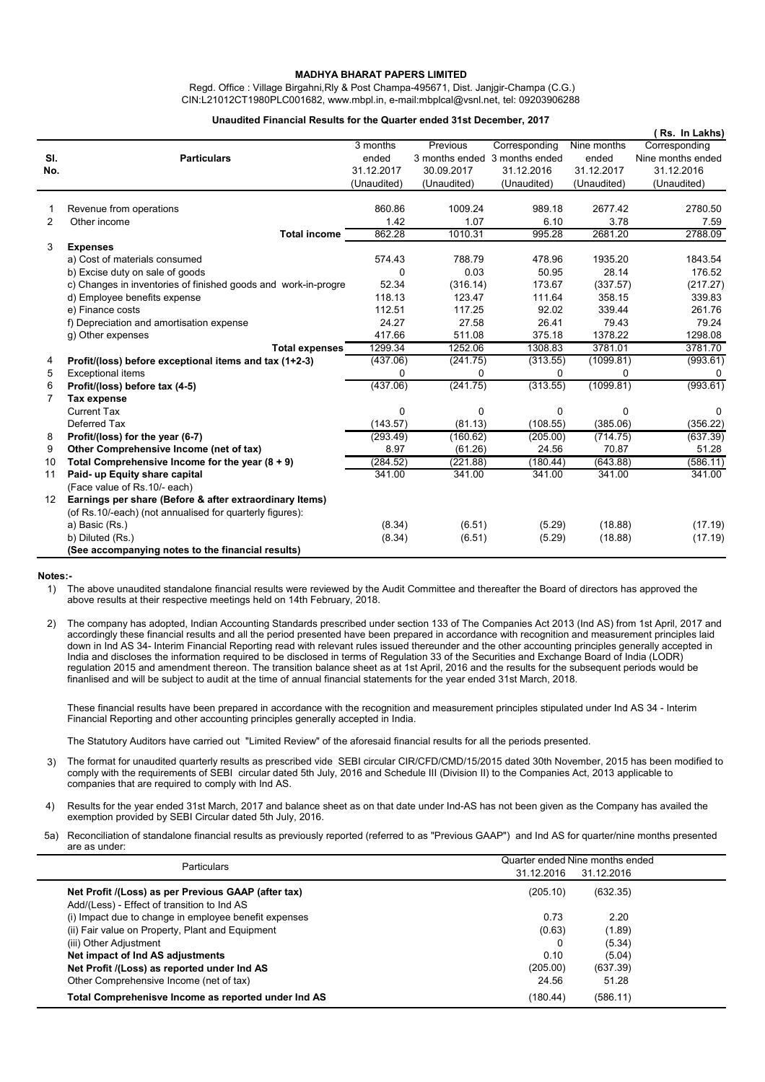## **MADHYA BHARAT PAPERS LIMITED**

Regd. Office : Village Birgahni,Rly & Post Champa-495671, Dist. Janjgir-Champa (C.G.) CIN:L21012CT1980PLC001682, www.mbpl.in, e-mail:mbplcal@vsnl.net, tel: 09203906288

## **Unaudited Financial Results for the Quarter ended 31st December, 2017**

|                |                                                                |             |                               |               |             | Rs. In Lakhs)     |
|----------------|----------------------------------------------------------------|-------------|-------------------------------|---------------|-------------|-------------------|
|                |                                                                | 3 months    | Previous                      | Corresponding | Nine months | Corresponding     |
| SI.            | <b>Particulars</b>                                             | ended       | 3 months ended 3 months ended |               | ended       | Nine months ended |
| No.            |                                                                | 31.12.2017  | 30.09.2017                    | 31.12.2016    | 31.12.2017  | 31.12.2016        |
|                |                                                                | (Unaudited) | (Unaudited)                   | (Unaudited)   | (Unaudited) | (Unaudited)       |
|                | Revenue from operations                                        | 860.86      | 1009.24                       | 989.18        | 2677.42     | 2780.50           |
| $\overline{2}$ | Other income                                                   | 1.42        | 1.07                          | 6.10          | 3.78        | 7.59              |
|                | <b>Total income</b>                                            | 862.28      | 1010.31                       | 995.28        | 2681.20     | 2788.09           |
| 3              | <b>Expenses</b>                                                |             |                               |               |             |                   |
|                | a) Cost of materials consumed                                  | 574.43      | 788.79                        | 478.96        | 1935.20     | 1843.54           |
|                | b) Excise duty on sale of goods                                | $\Omega$    | 0.03                          | 50.95         | 28.14       | 176.52            |
|                | c) Changes in inventories of finished goods and work-in-progre | 52.34       | (316.14)                      | 173.67        | (337.57)    | (217.27)          |
|                | d) Employee benefits expense                                   | 118.13      | 123.47                        | 111.64        | 358.15      | 339.83            |
|                | e) Finance costs                                               | 112.51      | 117.25                        | 92.02         | 339.44      | 261.76            |
|                | f) Depreciation and amortisation expense                       | 24.27       | 27.58                         | 26.41         | 79.43       | 79.24             |
|                | g) Other expenses                                              | 417.66      | 511.08                        | 375.18        | 1378.22     | 1298.08           |
|                | <b>Total expenses</b>                                          | 1299.34     | 1252.06                       | 1308.83       | 3781.01     | 3781.70           |
| 4              | Profit/(loss) before exceptional items and tax (1+2-3)         | (437.06)    | (241.75)                      | (313.55)      | (1099.81)   | (993.61)          |
| 5              | Exceptional items                                              | $\Omega$    | 0                             | $\Omega$      | $\Omega$    | 0                 |
| 6              | Profit/(loss) before tax (4-5)                                 | (437.06)    | (241.75)                      | (313.55)      | (1099.81)   | (993.61)          |
| 7              | Tax expense                                                    |             |                               |               |             |                   |
|                | <b>Current Tax</b>                                             | 0           | 0                             | 0             | 0           | <sup>0</sup>      |
|                | Deferred Tax                                                   | (143.57)    | (81.13)                       | (108.55)      | (385.06)    | (356.22)          |
| 8              | Profit/(loss) for the year (6-7)                               | (293.49)    | (160.62)                      | (205.00)      | (714.75)    | (637.39)          |
| 9              | Other Comprehensive Income (net of tax)                        | 8.97        | (61.26)                       | 24.56         | 70.87       | 51.28             |
| 10             | Total Comprehensive Income for the year $(8 + 9)$              | (284.52)    | (221.88)                      | (180.44)      | (643.88)    | (586.11)          |
| 11             | Paid- up Equity share capital                                  | 341.00      | 341.00                        | 341.00        | 341.00      | 341.00            |
|                | (Face value of Rs.10/- each)                                   |             |                               |               |             |                   |
| 12             | Earnings per share (Before & after extraordinary Items)        |             |                               |               |             |                   |
|                | (of Rs.10/-each) (not annualised for quarterly figures):       |             |                               |               |             |                   |
|                | a) Basic (Rs.)                                                 | (8.34)      | (6.51)                        | (5.29)        | (18.88)     | (17.19)           |
|                | b) Diluted (Rs.)                                               | (8.34)      | (6.51)                        | (5.29)        | (18.88)     | (17.19)           |
|                | (See accompanying notes to the financial results)              |             |                               |               |             |                   |

## **Notes:-**

1) The above unaudited standalone financial results were reviewed by the Audit Committee and thereafter the Board of directors has approved the above results at their respective meetings held on 14th February, 2018.

2) The company has adopted, Indian Accounting Standards prescribed under section 133 of The Companies Act 2013 (Ind AS) from 1st April, 2017 and accordingly these financial results and all the period presented have been prepared in accordance with recognition and measurement principles laid down in Ind AS 34- Interim Financial Reporting read with relevant rules issued thereunder and the other accounting principles generally accepted in India and discloses the information required to be disclosed in terms of Regulation 33 of the Securities and Exchange Board of India (LODR) regulation 2015 and amendment thereon. The transition balance sheet as at 1st April, 2016 and the results for the subsequent periods would be finanlised and will be subject to audit at the time of annual financial statements for the year ended 31st March, 2018.

These financial results have been prepared in accordance with the recognition and measurement principles stipulated under Ind AS 34 - Interim Financial Reporting and other accounting principles generally accepted in India.

The Statutory Auditors have carried out "Limited Review" of the aforesaid financial results for all the periods presented.

- 3) The format for unaudited quarterly results as prescribed vide SEBI circular CIR/CFD/CMD/15/2015 dated 30th November, 2015 has been modified to comply with the requirements of SEBI circular dated 5th July, 2016 and Schedule III (Division II) to the Companies Act, 2013 applicable to companies that are required to comply with Ind AS.
- 4) Results for the year ended 31st March, 2017 and balance sheet as on that date under Ind-AS has not been given as the Company has availed the exemption provided by SEBI Circular dated 5th July, 2016.
- 5a) Reconciliation of standalone financial results as previously reported (referred to as "Previous GAAP") and Ind AS for quarter/nine months presented are as under:

| Particulars                                           | Quarter ended Nine months ended |            |  |  |
|-------------------------------------------------------|---------------------------------|------------|--|--|
|                                                       | 31.12.2016                      | 31.12.2016 |  |  |
| Net Profit /(Loss) as per Previous GAAP (after tax)   | (205.10)                        | (632.35)   |  |  |
| Add/(Less) - Effect of transition to Ind AS           |                                 |            |  |  |
| (i) Impact due to change in employee benefit expenses | 0.73                            | 2.20       |  |  |
| (ii) Fair value on Property, Plant and Equipment      | (0.63)                          | (1.89)     |  |  |
| (iii) Other Adjustment                                | 0                               | (5.34)     |  |  |
| Net impact of Ind AS adjustments                      | 0.10                            | (5.04)     |  |  |
| Net Profit /(Loss) as reported under Ind AS           | (205.00)                        | (637.39)   |  |  |
| Other Comprehensive Income (net of tax)               | 24.56                           | 51.28      |  |  |
| Total Comprehenisve Income as reported under Ind AS   | (180.44)                        | (586.11)   |  |  |